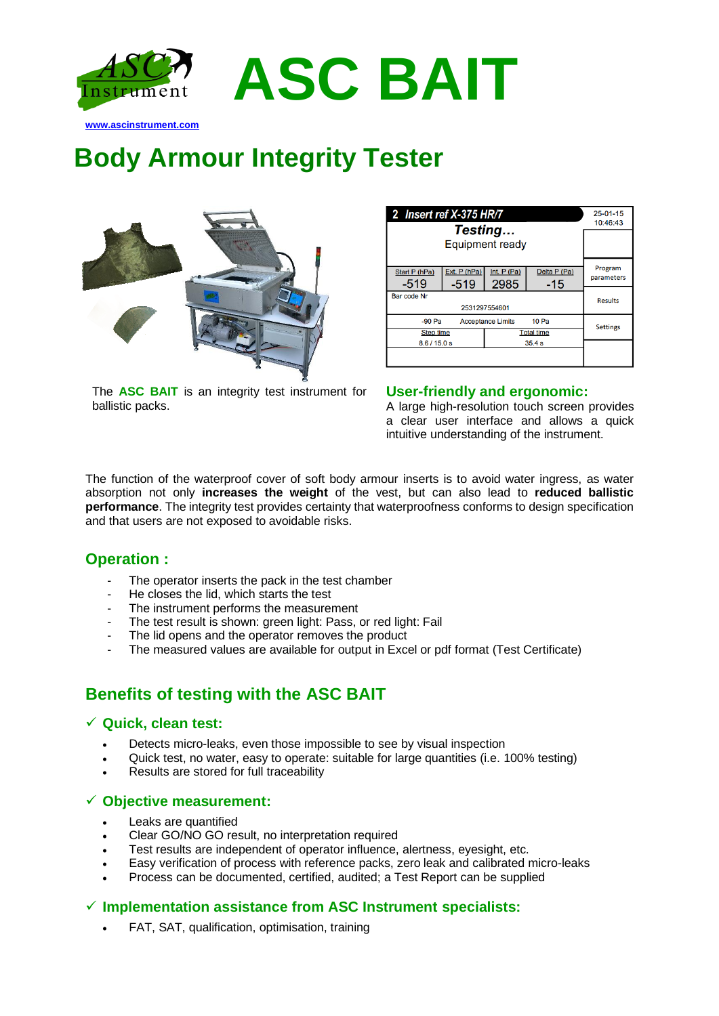

**Body Armour Integrity Tester**



The **ASC BAIT** is an integrity test instrument for ballistic packs.

| 2 Insert ref X-375 HR/7 | $25-01-15$<br>10:46:43 |                      |                     |                       |
|-------------------------|------------------------|----------------------|---------------------|-----------------------|
|                         |                        |                      |                     |                       |
| Start P (hPa)<br>$-519$ | Ext. P (hPa)<br>$-519$ | Int. $P(Pa)$<br>2985 | Delta P (Pa)<br>-15 | Program<br>parameters |
| Bar code Nr             | <b>Results</b>         |                      |                     |                       |
| $-90$ Pa                | <b>Settings</b>        |                      |                     |                       |
| <b>Step time</b>        |                        | <b>Total time</b>    |                     |                       |
| 8.6/15.0 s              |                        | 35.4s                |                     |                       |
|                         |                        |                      |                     |                       |

### **User-friendly and ergonomic:**

A large high-resolution touch screen provides a clear user interface and allows a quick intuitive understanding of the instrument.

The function of the waterproof cover of soft body armour inserts is to avoid water ingress, as water absorption not only **increases the weight** of the vest, but can also lead to **reduced ballistic performance**. The integrity test provides certainty that waterproofness conforms to design specification and that users are not exposed to avoidable risks.

**ASC BAIT**

## **Operation :**

- The operator inserts the pack in the test chamber
- He closes the lid, which starts the test
- The instrument performs the measurement
- The test result is shown: green light: Pass, or red light: Fail
- The lid opens and the operator removes the product
- The measured values are available for output in Excel or pdf format (Test Certificate)

## **Benefits of testing with the ASC BAIT**

### ✓ **Quick, clean test:**

- Detects micro-leaks, even those impossible to see by visual inspection
- Quick test, no water, easy to operate: suitable for large quantities (i.e. 100% testing)
- Results are stored for full traceability

#### ✓ **Objective measurement:**

- Leaks are quantified
- Clear GO/NO GO result, no interpretation required
- Test results are independent of operator influence, alertness, eyesight, etc.
- Easy verification of process with reference packs, zero leak and calibrated micro-leaks
- Process can be documented, certified, audited; a Test Report can be supplied

### ✓ **Implementation assistance from ASC Instrument specialists:**

• FAT, SAT, qualification, optimisation, training